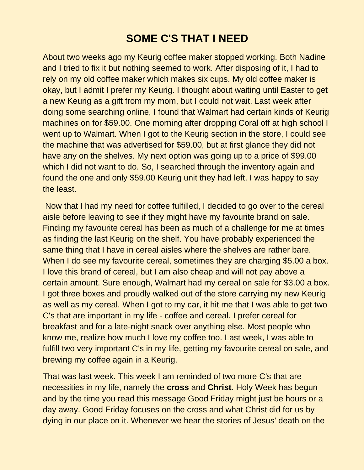## **SOME C'S THAT I NEED**

About two weeks ago my Keurig coffee maker stopped working. Both Nadine and I tried to fix it but nothing seemed to work. After disposing of it, I had to rely on my old coffee maker which makes six cups. My old coffee maker is okay, but I admit I prefer my Keurig. I thought about waiting until Easter to get a new Keurig as a gift from my mom, but I could not wait. Last week after doing some searching online, I found that Walmart had certain kinds of Keurig machines on for \$59.00. One morning after dropping Coral off at high school I went up to Walmart. When I got to the Keurig section in the store, I could see the machine that was advertised for \$59.00, but at first glance they did not have any on the shelves. My next option was going up to a price of \$99.00 which I did not want to do. So, I searched through the inventory again and found the one and only \$59.00 Keurig unit they had left. I was happy to say the least.

Now that I had my need for coffee fulfilled, I decided to go over to the cereal aisle before leaving to see if they might have my favourite brand on sale. Finding my favourite cereal has been as much of a challenge for me at times as finding the last Keurig on the shelf. You have probably experienced the same thing that I have in cereal aisles where the shelves are rather bare. When I do see my favourite cereal, sometimes they are charging \$5.00 a box. I love this brand of cereal, but I am also cheap and will not pay above a certain amount. Sure enough, Walmart had my cereal on sale for \$3.00 a box. I got three boxes and proudly walked out of the store carrying my new Keurig as well as my cereal. When I got to my car, it hit me that I was able to get two C's that are important in my life - coffee and cereal. I prefer cereal for breakfast and for a late-night snack over anything else. Most people who know me, realize how much I love my coffee too. Last week, I was able to fulfill two very important C's in my life, getting my favourite cereal on sale, and brewing my coffee again in a Keurig.

That was last week. This week I am reminded of two more C's that are necessities in my life, namely the **cross** and **Christ**. Holy Week has begun and by the time you read this message Good Friday might just be hours or a day away. Good Friday focuses on the cross and what Christ did for us by dying in our place on it. Whenever we hear the stories of Jesus' death on the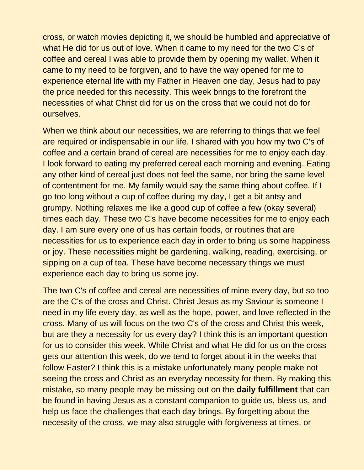cross, or watch movies depicting it, we should be humbled and appreciative of what He did for us out of love. When it came to my need for the two C's of coffee and cereal I was able to provide them by opening my wallet. When it came to my need to be forgiven, and to have the way opened for me to experience eternal life with my Father in Heaven one day, Jesus had to pay the price needed for this necessity. This week brings to the forefront the necessities of what Christ did for us on the cross that we could not do for ourselves.

When we think about our necessities, we are referring to things that we feel are required or indispensable in our life. I shared with you how my two C's of coffee and a certain brand of cereal are necessities for me to enjoy each day. I look forward to eating my preferred cereal each morning and evening. Eating any other kind of cereal just does not feel the same, nor bring the same level of contentment for me. My family would say the same thing about coffee. If I go too long without a cup of coffee during my day, I get a bit antsy and grumpy. Nothing relaxes me like a good cup of coffee a few (okay several) times each day. These two C's have become necessities for me to enjoy each day. I am sure every one of us has certain foods, or routines that are necessities for us to experience each day in order to bring us some happiness or joy. These necessities might be gardening, walking, reading, exercising, or sipping on a cup of tea. These have become necessary things we must experience each day to bring us some joy.

The two C's of coffee and cereal are necessities of mine every day, but so too are the C's of the cross and Christ. Christ Jesus as my Saviour is someone I need in my life every day, as well as the hope, power, and love reflected in the cross. Many of us will focus on the two C's of the cross and Christ this week, but are they a necessity for us every day? I think this is an important question for us to consider this week. While Christ and what He did for us on the cross gets our attention this week, do we tend to forget about it in the weeks that follow Easter? I think this is a mistake unfortunately many people make not seeing the cross and Christ as an everyday necessity for them. By making this mistake, so many people may be missing out on the **daily fulfillment** that can be found in having Jesus as a constant companion to guide us, bless us, and help us face the challenges that each day brings. By forgetting about the necessity of the cross, we may also struggle with forgiveness at times, or